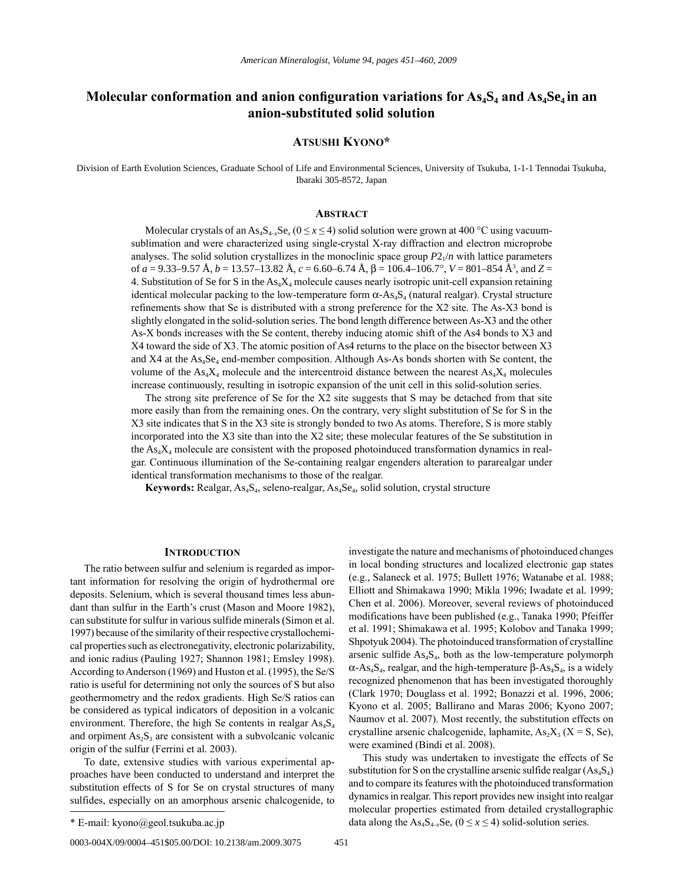# Molecular conformation and anion configuration variations for As<sub>4</sub>S<sub>4</sub> and As<sub>4</sub>S<sub>e<sub>4</sub> in an</sub> **anion-substituted solid solution**

# **Atsushi Kyono\***

Division of Earth Evolution Sciences, Graduate School of Life and Environmental Sciences, University of Tsukuba, 1-1-1 Tennodai Tsukuba, Ibaraki 305-8572, Japan

#### **AbstrAct**

Molecular crystals of an As<sub>4</sub>S<sub>4-*x*</sub>Se<sub>*x*</sub> ( $0 \le x \le 4$ ) solid solution were grown at 400 °C using vacuumsublimation and were characterized using single-crystal X-ray diffraction and electron microprobe analyses. The solid solution crystallizes in the monoclinic space group  $P_2/$ *n* with lattice parameters of *a* = 9.33–9.57 Å, *b* = 13.57–13.82 Å, *c* = 6.60–6.74 Å, β = 106.4–106.7°, *V* = 801–854 Å3 , and *Z* = 4. Substitution of Se for S in the  $As_4X_4$  molecule causes nearly isotropic unit-cell expansion retaining identical molecular packing to the low-temperature form  $\alpha$ -As<sub>4</sub>S<sub>4</sub> (natural realgar). Crystal structure refinements show that Se is distributed with a strong preference for the X2 site. The As-X3 bond is slightly elongated in the solid-solution series. The bond length difference between As-X3 and the other As-X bonds increases with the Se content, thereby inducing atomic shift of the As4 bonds to X3 and X4 toward the side of X3. The atomic position of As4 returns to the place on the bisector between X3 and  $X4$  at the  $As_4Se_4$  end-member composition. Although As-As bonds shorten with Se content, the volume of the  $As_4X_4$  molecule and the intercentroid distance between the nearest  $As_4X_4$  molecules increase continuously, resulting in isotropic expansion of the unit cell in this solid-solution series.

The strong site preference of Se for the X2 site suggests that S may be detached from that site more easily than from the remaining ones. On the contrary, very slight substitution of Se for S in the X3 site indicates that S in the X3 site is strongly bonded to two As atoms. Therefore, S is more stably incorporated into the X3 site than into the X2 site; these molecular features of the Se substitution in the  $As<sub>4</sub>X<sub>4</sub>$  molecule are consistent with the proposed photoinduced transformation dynamics in realgar. Continuous illumination of the Se-containing realgar engenders alteration to pararealgar under identical transformation mechanisms to those of the realgar.

Keywords: Realgar, As<sub>4</sub>S<sub>4</sub>, seleno-realgar, As<sub>4</sub>Se<sub>4</sub>, solid solution, crystal structure

# **INTRODUCTION**

The ratio between sulfur and selenium is regarded as important information for resolving the origin of hydrothermal ore deposits. Selenium, which is several thousand times less abundant than sulfur in the Earth's crust (Mason and Moore 1982), can substitute for sulfur in various sulfide minerals (Simon et al. 1997) because of the similarity of their respective crystallochemical properties such as electronegativity, electronic polarizability, and ionic radius (Pauling 1927; Shannon 1981; Emsley 1998). According to Anderson (1969) and Huston et al. (1995), the Se/S ratio is useful for determining not only the sources of S but also geothermometry and the redox gradients. High Se/S ratios can be considered as typical indicators of deposition in a volcanic environment. Therefore, the high Se contents in realgar  $As<sub>4</sub>S<sub>4</sub>$ and orpiment  $As<sub>2</sub>S<sub>3</sub>$  are consistent with a subvolcanic volcanic origin of the sulfur (Ferrini et al. 2003).

To date, extensive studies with various experimental approaches have been conducted to understand and interpret the substitution effects of S for Se on crystal structures of many sulfides, especially on an amorphous arsenic chalcogenide, to investigate the nature and mechanisms of photoinduced changes in local bonding structures and localized electronic gap states (e.g., Salaneck et al. 1975; Bullett 1976; Watanabe et al. 1988; Elliott and Shimakawa 1990; Mikla 1996; Iwadate et al. 1999; Chen et al. 2006). Moreover, several reviews of photoinduced modifications have been published (e.g., Tanaka 1990; Pfeiffer et al. 1991; Shimakawa et al. 1995; Kolobov and Tanaka 1999; Shpotyuk 2004). The photoinduced transformation of crystalline arsenic sulfide  $As<sub>4</sub>S<sub>4</sub>$ , both as the low-temperature polymorph  $\alpha$ -As<sub>4</sub>S<sub>4</sub>, realgar, and the high-temperature β-As<sub>4</sub>S<sub>4</sub>, is a widely recognized phenomenon that has been investigated thoroughly (Clark 1970; Douglass et al. 1992; Bonazzi et al. 1996, 2006; Kyono et al. 2005; Ballirano and Maras 2006; Kyono 2007; Naumov et al. 2007). Most recently, the substitution effects on crystalline arsenic chalcogenide, laphamite,  $As_2X_3$  (X = S, Se), were examined (Bindi et al. 2008).

This study was undertaken to investigate the effects of Se substitution for S on the crystalline arsenic sulfide realgar  $(As<sub>4</sub>S<sub>4</sub>)$ and to compare its features with the photoinduced transformation dynamics in realgar. This report provides new insight into realgar molecular properties estimated from detailed crystallographic \* E-mail: kyono@geol.tsukuba.ac.jp ( $\frac{1}{2}$  atta along the As<sub>4</sub>S<sub>4-x</sub>Se<sub>*x*</sub> ( $0 \le x \le 4$ ) solid-solution series.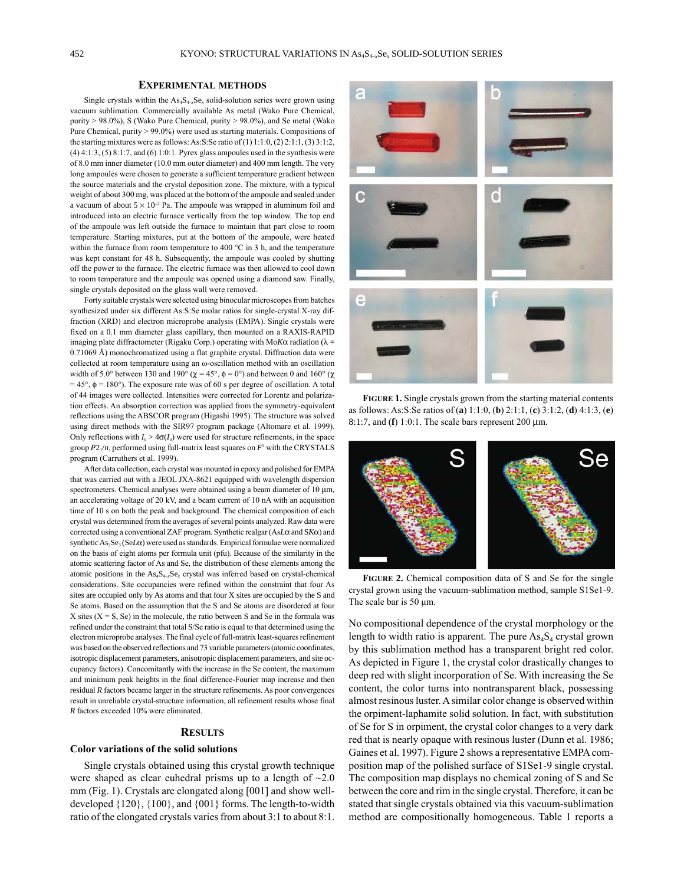### **ExpErimEntAl mEthods**

Single crystals within the  $As_4S_{4-x}Se_x$  solid-solution series were grown using vacuum sublimation. Commercially available As metal (Wako Pure Chemical, purity > 98.0%), S (Wako Pure Chemical, purity > 98.0%), and Se metal (Wako Pure Chemical, purity > 99.0%) were used as starting materials. Compositions of the starting mixtures were as follows: As:S:Se ratio of  $(1)$  1:1:0,  $(2)$  2:1:1,  $(3)$  3:1:2, (4) 4:1:3, (5) 8:1:7, and (6) 1:0:1. Pyrex glass ampoules used in the synthesis were of 8.0 mm inner diameter (10.0 mm outer diameter) and 400 mm length. The very long ampoules were chosen to generate a sufficient temperature gradient between the source materials and the crystal deposition zone. The mixture, with a typical weight of about 300 mg, was placed at the bottom of the ampoule and sealed under a vacuum of about  $5 \times 10^{-2}$  Pa. The ampoule was wrapped in aluminum foil and introduced into an electric furnace vertically from the top window. The top end of the ampoule was left outside the furnace to maintain that part close to room temperature. Starting mixtures, put at the bottom of the ampoule, were heated within the furnace from room temperature to 400 °C in 3 h, and the temperature was kept constant for 48 h. Subsequently, the ampoule was cooled by shutting off the power to the furnace. The electric furnace was then allowed to cool down to room temperature and the ampoule was opened using a diamond saw. Finally, single crystals deposited on the glass wall were removed.

Forty suitable crystals were selected using binocular microscopes from batches synthesized under six different As:S:Se molar ratios for single-crystal X-ray diffraction (XRD) and electron microprobe analysis (EMPA). Single crystals were fixed on a 0.1 mm diameter glass capillary, then mounted on a RAXIS-RAPID imaging plate diffractometer (Rigaku Corp.) operating with Mo $K\alpha$  radiation ( $\lambda$  = 0.71069 Å) monochromatized using a flat graphite crystal. Diffraction data were collected at room temperature using an ω-oscillation method with an oscillation width of 5.0° between 130 and 190° ( $\chi$  = 45°,  $\phi$  = 0°) and between 0 and 160° ( $\chi$  $= 45^{\circ}$ ,  $\phi = 180^{\circ}$ ). The exposure rate was of 60 s per degree of oscillation. A total of 44 images were collected. Intensities were corrected for lorentz and polarization effects. An absorption correction was applied from the symmetry-equivalent reflections using the ABSCOR program (Higashi 1995). The structure was solved using direct methods with the SIR97 program package (Altomare et al. 1999). Only reflections with  $I_{\circ} > 4\sigma(I_{\circ})$  were used for structure refinements, in the space group  $P2_1/n$ , performed using full-matrix least squares on  $F^2$  with the CRYSTALS program (Carruthers et al. 1999).

After data collection, each crystal was mounted in epoxy and polished for EMPA that was carried out with a JEOl JXA-8621 equipped with wavelength dispersion spectrometers. Chemical analyses were obtained using a beam diameter of 10  $\mu$ m, an accelerating voltage of 20 kv, and a beam current of 10 nA with an acquisition time of 10 s on both the peak and background. The chemical composition of each crystal was determined from the averages of several points analyzed. Raw data were corrected using a conventional ZAF program. Synthetic realgar (As*L*α and S*K*α) and synthetic As<sub>2</sub>Se<sub>3</sub> (Se*Lα*) were used as standards. Empirical formulae were normalized on the basis of eight atoms per formula unit (pfu). Because of the similarity in the atomic scattering factor of As and Se, the distribution of these elements among the atomic positions in the  $\text{As}_4\text{S}_{4-x}\text{Se}_x$  crystal was inferred based on crystal-chemical considerations. Site occupancies were refined within the constraint that four As sites are occupied only by As atoms and that four X sites are occupied by the S and Se atoms. Based on the assumption that the S and Se atoms are disordered at four X sites  $(X = S, Se)$  in the molecule, the ratio between S and Se in the formula was refined under the constraint that total S/Se ratio is equal to that determined using the electron microprobe analyses. The final cycle of full-matrix least-squares refinement was based on the observed reflections and 73 variable parameters (atomic coordinates, isotropic displacement parameters, anisotropic displacement parameters, and site occupancy factors). Concomitantly with the increase in the Se content, the maximum and minimum peak heights in the final difference-Fourier map increase and then residual *R* factors became larger in the structure refinements. As poor convergences result in unreliable crystal-structure information, all refinement results whose final *R* factors exceeded 10% were eliminated.

### **RESULTS**

### **Color variations of the solid solutions**

Single crystals obtained using this crystal growth technique were shaped as clear euhedral prisms up to a length of  $\sim 2.0$ mm (Fig. 1). Crystals are elongated along [001] and show welldeveloped {120}, {100}, and {001} forms. The length-to-width ratio of the elongated crystals varies from about 3:1 to about 8:1.



**FigurE 1.** Single crystals grown from the starting material contents as follows: As:S:Se ratios of (**a**) 1:1:0, (**b**) 2:1:1, (**c**) 3:1:2, (**d**) 4:1:3, (**e**) 8:1:7, and (**f**) 1:0:1. The scale bars represent 200 µm.



**FigurE 2.** Chemical composition data of S and Se for the single crystal grown using the vacuum-sublimation method, sample S1Se1-9. The scale bar is 50 μm.

No compositional dependence of the crystal morphology or the length to width ratio is apparent. The pure  $As<sub>4</sub>S<sub>4</sub>$  crystal grown by this sublimation method has a transparent bright red color. As depicted in Figure 1, the crystal color drastically changes to deep red with slight incorporation of Se. With increasing the Se content, the color turns into nontransparent black, possessing almost resinous luster. A similar color change is observed within the orpiment-laphamite solid solution. In fact, with substitution of Se for S in orpiment, the crystal color changes to a very dark red that is nearly opaque with resinous luster (Dunn et al. 1986; Gaines et al. 1997). Figure 2 shows a representative EMPA composition map of the polished surface of S1Se1-9 single crystal. The composition map displays no chemical zoning of S and Se between the core and rim in the single crystal. Therefore, it can be stated that single crystals obtained via this vacuum-sublimation method are compositionally homogeneous. Table 1 reports a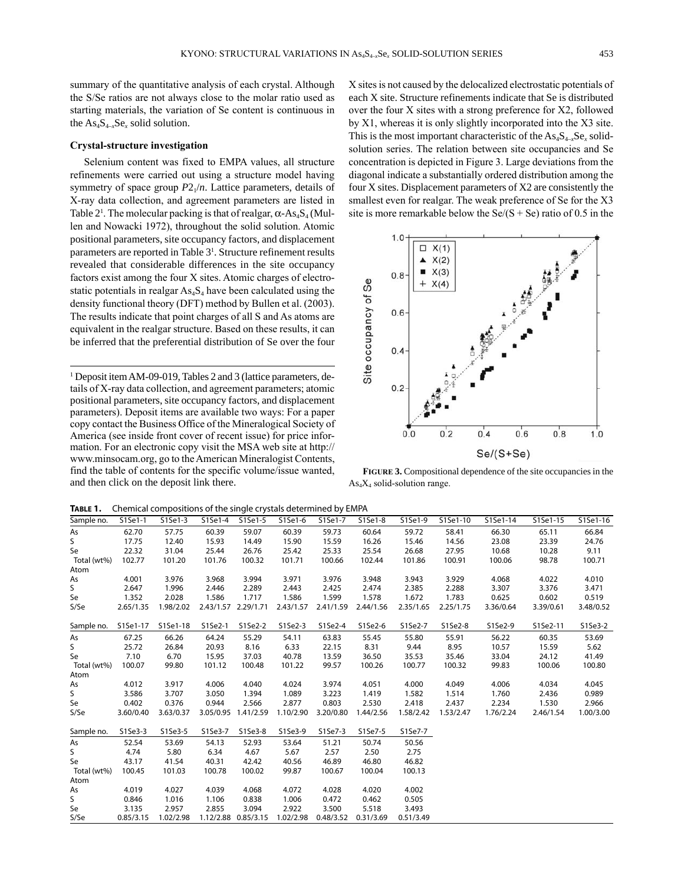summary of the quantitative analysis of each crystal. Although the S/Se ratios are not always close to the molar ratio used as starting materials, the variation of Se content is continuous in the  $\text{As}_4\text{S}_{4-x}\text{Se}_x$  solid solution.

### **Crystal-structure investigation**

Selenium content was fixed to EMPA values, all structure refinements were carried out using a structure model having symmetry of space group  $P2_1/n$ . Lattice parameters, details of X-ray data collection, and agreement parameters are listed in Table  $2^1$ . The molecular packing is that of realgar,  $\alpha$ -As<sub>4</sub>S<sub>4</sub> (Mullen and Nowacki 1972), throughout the solid solution. Atomic positional parameters, site occupancy factors, and displacement parameters are reported in Table  $3<sup>1</sup>$ . Structure refinement results revealed that considerable differences in the site occupancy factors exist among the four X sites. Atomic charges of electrostatic potentials in realgar  $\text{As}_4\text{S}_4$  have been calculated using the density functional theory (DFT) method by Bullen et al. (2003). The results indicate that point charges of all S and As atoms are equivalent in the realgar structure. Based on these results, it can be inferred that the preferential distribution of Se over the four

<sup>1</sup> Deposit item AM-09-019, Tables 2 and 3 (lattice parameters, details of X-ray data collection, and agreement parameters; atomic positional parameters, site occupancy factors, and displacement parameters). Deposit items are available two ways: For a paper copy contact the Business Office of the Mineralogical Society of America (see inside front cover of recent issue) for price information. For an electronic copy visit the MSA web site at http:// www.minsocam.org, go to the American Mineralogist Contents, find the table of contents for the specific volume/issue wanted, and then click on the deposit link there.

X sites is not caused by the delocalized electrostatic potentials of each X site. Structure refinements indicate that Se is distributed over the four X sites with a strong preference for X2, followed by X1, whereas it is only slightly incorporated into the X3 site. This is the most important characteristic of the  $\text{As}_{4}S_{4-x}Se_{x}$  solidsolution series. The relation between site occupancies and Se concentration is depicted in Figure 3. large deviations from the diagonal indicate a substantially ordered distribution among the four X sites. Displacement parameters of X2 are consistently the smallest even for realgar. The weak preference of Se for the X3 site is more remarkable below the  $\text{Se/(S + Se)}$  ratio of 0.5 in the



**FigurE 3.** Compositional dependence of the site occupancies in the  $As<sub>4</sub>X<sub>4</sub>$  solid-solution range.

**Table 1.** Chemical compositions of the single crystals determined by EMPA

| IABLE 1.    |           | Chemical compositions of the single crystals determined by EMPA |           |                     |           |           |           |           |           |           |           |           |
|-------------|-----------|-----------------------------------------------------------------|-----------|---------------------|-----------|-----------|-----------|-----------|-----------|-----------|-----------|-----------|
| Sample no.  | $S1Se1-1$ | $S1Se1-3$                                                       | S1Se1-4   | S1Se1-5             | S1Se1-6   | S1Se1-7   | S1Se1-8   | S1Se1-9   | S1Se1-10  | S1Se1-14  | S1Se1-15  | S1Se1-16  |
| As          | 62.70     | 57.75                                                           | 60.39     | 59.07               | 60.39     | 59.73     | 60.64     | 59.72     | 58.41     | 66.30     | 65.11     | 66.84     |
| S           | 17.75     | 12.40                                                           | 15.93     | 14.49               | 15.90     | 15.59     | 16.26     | 15.46     | 14.56     | 23.08     | 23.39     | 24.76     |
| Se          | 22.32     | 31.04                                                           | 25.44     | 26.76               | 25.42     | 25.33     | 25.54     | 26.68     | 27.95     | 10.68     | 10.28     | 9.11      |
| Total (wt%) | 102.77    | 101.20                                                          | 101.76    | 100.32              | 101.71    | 100.66    | 102.44    | 101.86    | 100.91    | 100.06    | 98.78     | 100.71    |
| Atom        |           |                                                                 |           |                     |           |           |           |           |           |           |           |           |
| As          | 4.001     | 3.976                                                           | 3.968     | 3.994               | 3.971     | 3.976     | 3.948     | 3.943     | 3.929     | 4.068     | 4.022     | 4.010     |
| S.          | 2.647     | 1.996                                                           | 2.446     | 2.289               | 2.443     | 2.425     | 2.474     | 2.385     | 2.288     | 3.307     | 3.376     | 3.471     |
| Se          | 1.352     | 2.028                                                           | 1.586     | 1.717               | 1.586     | 1.599     | 1.578     | 1.672     | 1.783     | 0.625     | 0.602     | 0.519     |
| S/Se        | 2.65/1.35 | 1.98/2.02                                                       |           | 2.43/1.57 2.29/1.71 | 2.43/1.57 | 2.41/1.59 | 2.44/1.56 | 2.35/1.65 | 2.25/1.75 | 3.36/0.64 | 3.39/0.61 | 3.48/0.52 |
| Sample no.  | S1Se1-17  | S1Se1-18                                                        | S1Se2-1   | S1Se2-2             | S1Se2-3   | S1Se2-4   | S1Se2-6   | S1Se2-7   | S1Se2-8   | S1Se2-9   | S1Se2-11  | S1Se3-2   |
| As          | 67.25     | 66.26                                                           | 64.24     | 55.29               | 54.11     | 63.83     | 55.45     | 55.80     | 55.91     | 56.22     | 60.35     | 53.69     |
| S           | 25.72     | 26.84                                                           | 20.93     | 8.16                | 6.33      | 22.15     | 8.31      | 9.44      | 8.95      | 10.57     | 15.59     | 5.62      |
| Se          | 7.10      | 6.70                                                            | 15.95     | 37.03               | 40.78     | 13.59     | 36.50     | 35.53     | 35.46     | 33.04     | 24.12     | 41.49     |
| Total (wt%) | 100.07    | 99.80                                                           | 101.12    | 100.48              | 101.22    | 99.57     | 100.26    | 100.77    | 100.32    | 99.83     | 100.06    | 100.80    |
| Atom        |           |                                                                 |           |                     |           |           |           |           |           |           |           |           |
| As          | 4.012     | 3.917                                                           | 4.006     | 4.040               | 4.024     | 3.974     | 4.051     | 4.000     | 4.049     | 4.006     | 4.034     | 4.045     |
| S.          | 3.586     | 3.707                                                           | 3.050     | 1.394               | 1.089     | 3.223     | 1.419     | 1.582     | 1.514     | 1.760     | 2.436     | 0.989     |
| Se          | 0.402     | 0.376                                                           | 0.944     | 2.566               | 2.877     | 0.803     | 2.530     | 2.418     | 2.437     | 2.234     | 1.530     | 2.966     |
| S/Se        | 3.60/0.40 | 3.63/0.37                                                       | 3.05/0.95 | 1.41/2.59           | 1.10/2.90 | 3.20/0.80 | 1.44/2.56 | 1.58/2.42 | 1.53/2.47 | 1.76/2.24 | 2.46/1.54 | 1.00/3.00 |
| Sample no.  | S1Se3-3   | S1Se3-5                                                         | S1Se3-7   | S1Se3-8             | S1Se3-9   | S1Se7-3   | S1Se7-5   | S1Se7-7   |           |           |           |           |
| As          | 52.54     | 53.69                                                           | 54.13     | 52.93               | 53.64     | 51.21     | 50.74     | 50.56     |           |           |           |           |
| S           | 4.74      | 5.80                                                            | 6.34      | 4.67                | 5.67      | 2.57      | 2.50      | 2.75      |           |           |           |           |
| Se          | 43.17     | 41.54                                                           | 40.31     | 42.42               | 40.56     | 46.89     | 46.80     | 46.82     |           |           |           |           |
| Total (wt%) | 100.45    | 101.03                                                          | 100.78    | 100.02              | 99.87     | 100.67    | 100.04    | 100.13    |           |           |           |           |
| Atom        |           |                                                                 |           |                     |           |           |           |           |           |           |           |           |
| As          | 4.019     | 4.027                                                           | 4.039     | 4.068               | 4.072     | 4.028     | 4.020     | 4.002     |           |           |           |           |
| S           | 0.846     | 1.016                                                           | 1.106     | 0.838               | 1.006     | 0.472     | 0.462     | 0.505     |           |           |           |           |
| Se          | 3.135     | 2.957                                                           | 2.855     | 3.094               | 2.922     | 3.500     | 5.518     | 3.493     |           |           |           |           |
| S/Se        | 0.85/3.15 | 1.02/2.98                                                       |           | 1.12/2.88 0.85/3.15 | 1.02/2.98 | 0.48/3.52 | 0.31/3.69 | 0.51/3.49 |           |           |           |           |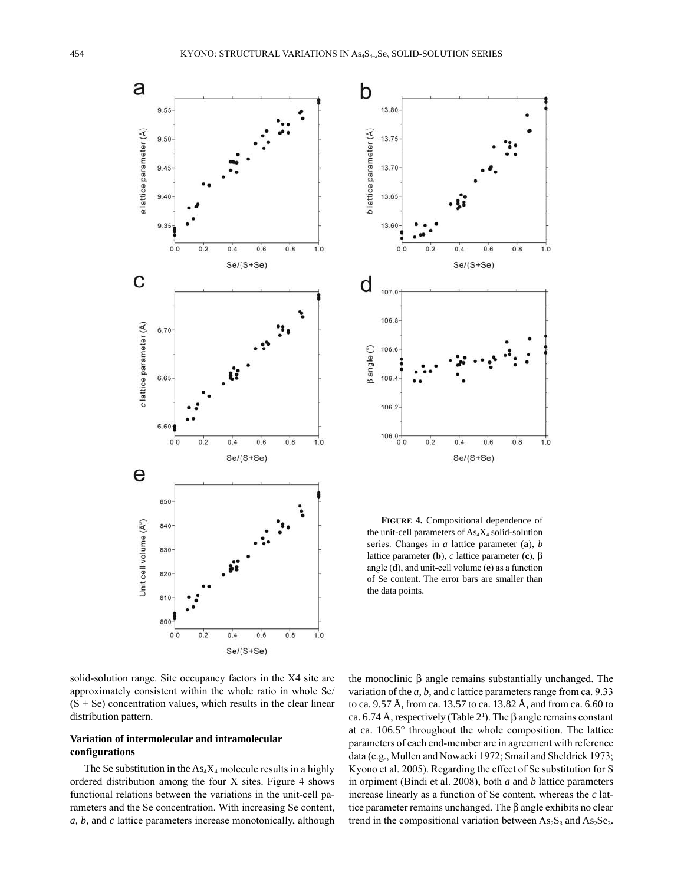



**FigurE 4.** Compositional dependence of the unit-cell parameters of  $As<sub>4</sub>X<sub>4</sub>$  solid-solution series. Changes in *a* lattice parameter (**a**), *b* lattice parameter (**b**), *c* lattice parameter (**c**), β angle (**d**), and unit-cell volume (**e**) as a function of Se content. The error bars are smaller than the data points.

solid-solution range. Site occupancy factors in the X4 site are approximately consistent within the whole ratio in whole Se/  $(S + Se)$  concentration values, which results in the clear linear distribution pattern.

# **Variation of intermolecular and intramolecular configurations**

The Se substitution in the  $As<sub>4</sub>X<sub>4</sub>$  molecule results in a highly ordered distribution among the four X sites. Figure 4 shows functional relations between the variations in the unit-cell parameters and the Se concentration. With increasing Se content, *a*, *b*, and *c* lattice parameters increase monotonically, although the monoclinic β angle remains substantially unchanged. The variation of the *a*, *b*, and *c* lattice parameters range from ca. 9.33 to ca. 9.57 Å, from ca. 13.57 to ca. 13.82 Å, and from ca. 6.60 to ca. 6.74 Å, respectively (Table 2<sup>1</sup>). The β angle remains constant at ca. 106.5° throughout the whole composition. The lattice parameters of each end-member are in agreement with reference data (e.g., Mullen and Nowacki 1972; Smail and Sheldrick 1973; Kyono et al. 2005). Regarding the effect of Se substitution for S in orpiment (Bindi et al. 2008), both *a* and *b* lattice parameters increase linearly as a function of Se content, whereas the *c* lattice parameter remains unchanged. The β angle exhibits no clear trend in the compositional variation between  $As_2S_3$  and  $As_2Se_3$ .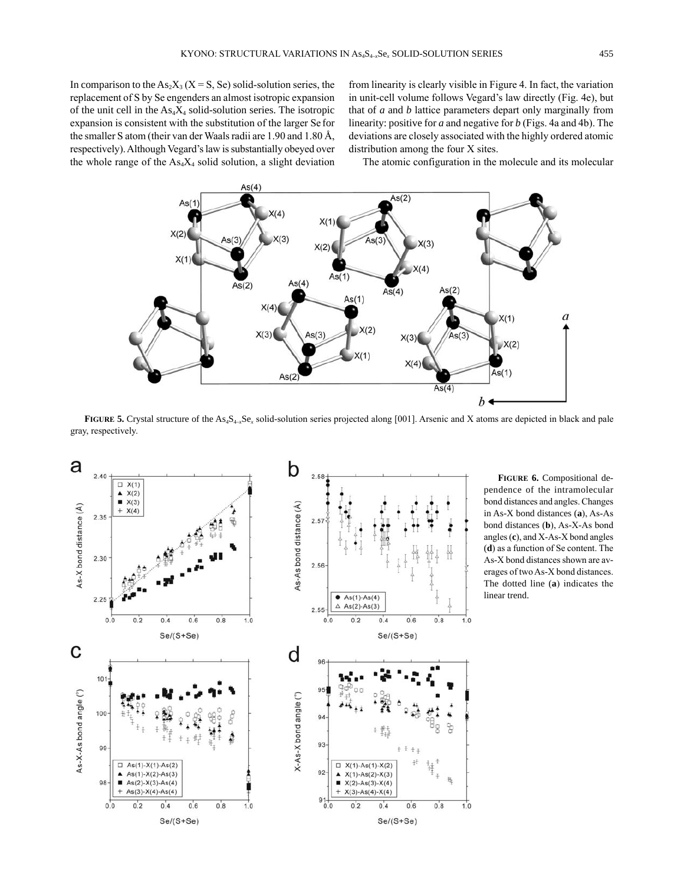In comparison to the  $As_2X_3(X = S, Se)$  solid-solution series, the replacement of S by Se engenders an almost isotropic expansion of the unit cell in the  $As<sub>4</sub>X<sub>4</sub>$  solid-solution series. The isotropic expansion is consistent with the substitution of the larger Se for the smaller S atom (their van der Waals radii are 1.90 and 1.80 Å, respectively). Although vegard's law is substantially obeyed over the whole range of the  $\text{As}_4 X_4$  solid solution, a slight deviation from linearity is clearly visible in Figure 4. In fact, the variation in unit-cell volume follows vegard's law directly (Fig. 4e), but that of *a* and *b* lattice parameters depart only marginally from linearity: positive for *a* and negative for *b* (Figs. 4a and 4b). The deviations are closely associated with the highly ordered atomic distribution among the four X sites.

The atomic configuration in the molecule and its molecular



**FIGURE 5.** Crystal structure of the As<sub>4</sub>S<sub>4-x</sub>Se<sub>x</sub> solid-solution series projected along [001]. Arsenic and X atoms are depicted in black and pale gray, respectively.



**FigurE 6.** Compositional dependence of the intramolecular bond distances and angles. Changes in As-X bond distances (**a**), As-As bond distances (**b**), As-X-As bond angles (**c**), and X-As-X bond angles (**d**) as a function of Se content. The As-X bond distances shown are averages of two As-X bond distances. The dotted line (**a**) indicates the linear trend.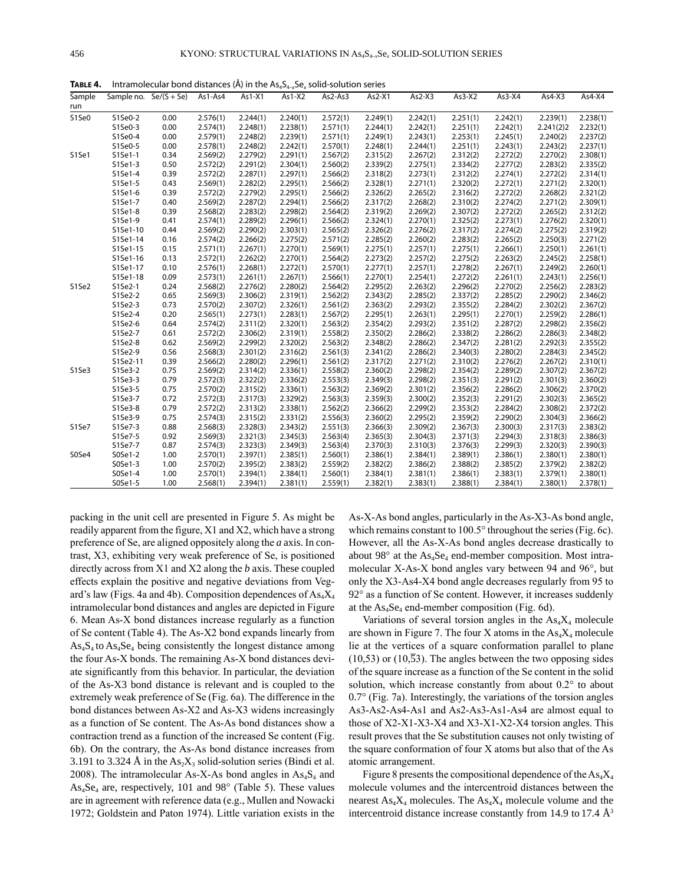|               |          |                          |          |          | <b>TTA</b><br>$\sim$ |          |          |          |          |          |           |          |
|---------------|----------|--------------------------|----------|----------|----------------------|----------|----------|----------|----------|----------|-----------|----------|
| Sample<br>run |          | Sample no. $Se/(S + Se)$ | As1-As4  | As 1-X1  | As1-X2               | As2-As3  | $As2-X1$ | $As2-X3$ | $As3-X2$ | $As3-X4$ | $As4-X3$  | $As4-X4$ |
| S1Se0         | S1Se0-2  | 0.00                     | 2.576(1) | 2.244(1) | 2.240(1)             | 2.572(1) | 2.249(1) | 2.242(1) | 2.251(1) | 2.242(1) | 2.239(1)  | 2.238(1) |
|               | S1Se0-3  | 0.00                     | 2.574(1) | 2.248(1) | 2.238(1)             | 2.571(1) | 2.244(1) | 2.242(1) | 2.251(1) | 2.242(1) | 2.241(2)2 | 2.232(1) |
|               | S1Se0-4  | 0.00                     | 2.579(1) | 2.248(2) | 2.239(1)             | 2.571(1) | 2.249(1) | 2.243(1) | 2.253(1) | 2.245(1) | 2.240(2)  | 2.237(2) |
|               | S1Se0-5  | 0.00                     | 2.578(1) | 2.248(2) | 2.242(1)             | 2.570(1) | 2.248(1) | 2.244(1) | 2.251(1) | 2.243(1) | 2.243(2)  | 2.237(1) |
| S1Se1         | S1Se1-1  | 0.34                     | 2.569(2) | 2.279(2) | 2.291(1)             | 2.567(2) | 2.315(2) | 2.267(2) | 2.312(2) | 2.272(2) | 2.270(2)  | 2.308(1) |
|               | S1Se1-3  | 0.50                     | 2.572(2) | 2.291(2) | 2.304(1)             | 2.560(2) | 2.339(2) | 2.275(1) | 2.334(2) | 2.277(2) | 2.283(2)  | 2.335(2) |
|               | S1Se1-4  | 0.39                     | 2.572(2) | 2.287(1) | 2.297(1)             | 2.566(2) | 2.318(2) | 2.273(1) | 2.312(2) | 2.274(1) | 2.272(2)  | 2.314(1) |
|               | S1Se1-5  | 0.43                     | 2.569(1) | 2.282(2) | 2.295(1)             | 2.566(2) | 2.328(1) | 2.271(1) | 2.320(2) | 2.272(1) | 2.271(2)  | 2.320(1) |
|               | S1Se1-6  | 0.39                     | 2.572(2) | 2.279(2) | 2.295(1)             | 2.566(2) | 2.326(2) | 2.265(2) | 2.316(2) | 2.272(2) | 2.268(2)  | 2.321(2) |
|               | S1Se1-7  | 0.40                     | 2.569(2) | 2.287(2) | 2.294(1)             | 2.566(2) | 2.317(2) | 2.268(2) | 2.310(2) | 2.274(2) | 2.271(2)  | 2.309(1) |
|               | S1Se1-8  | 0.39                     | 2.568(2) | 2.283(2) | 2.298(2)             | 2.564(2) | 2.319(2) | 2.269(2) | 2.307(2) | 2.272(2) | 2.265(2)  | 2.312(2) |
|               | S1Se1-9  | 0.41                     | 2.574(1) | 2.289(2) | 2.296(1)             | 2.566(2) | 2.324(1) | 2.270(1) | 2.325(2) | 2.273(1) | 2.276(2)  | 2.320(1) |
|               | S1Se1-10 | 0.44                     | 2.569(2) | 2.290(2) | 2.303(1)             | 2.565(2) | 2.326(2) | 2.276(2) | 2.317(2) | 2.274(2) | 2.275(2)  | 2.319(2) |
|               | S1Se1-14 | 0.16                     | 2.574(2) | 2.266(2) | 2.275(2)             | 2.571(2) | 2.285(2) | 2.260(2) | 2.283(2) | 2.265(2) | 2.250(3)  | 2.271(2) |
|               | S1Se1-15 | 0.15                     | 2.571(1) | 2.267(1) | 2.270(1)             | 2.569(1) | 2.275(1) | 2.257(1) | 2.275(1) | 2.266(1) | 2.250(1)  | 2.261(1) |
|               | S1Se1-16 | 0.13                     | 2.572(1) | 2.262(2) | 2.270(1)             | 2.564(2) | 2.273(2) | 2.257(2) | 2.275(2) | 2.263(2) | 2.245(2)  | 2.258(1) |
|               | S1Se1-17 | 0.10                     | 2.576(1) | 2.268(1) | 2.272(1)             | 2.570(1) | 2.277(1) | 2.257(1) | 2.278(2) | 2.267(1) | 2.249(2)  | 2.260(1) |
|               | S1Se1-18 | 0.09                     | 2.573(1) | 2.261(1) | 2.267(1)             | 2.566(1) | 2.270(1) | 2.254(1) | 2.272(2) | 2.261(1) | 2.243(1)  | 2.256(1) |
| S1Se2         | S1Se2-1  | 0.24                     | 2.568(2) | 2.276(2) | 2.280(2)             | 2.564(2) | 2.295(2) | 2.263(2) | 2.296(2) | 2.270(2) | 2.256(2)  | 2.283(2) |
|               | S1Se2-2  | 0.65                     | 2.569(3) | 2.306(2) | 2.319(1)             | 2.562(2) | 2.343(2) | 2.285(2) | 2.337(2) | 2.285(2) | 2.290(2)  | 2.346(2) |
|               | S1Se2-3  | 0.73                     | 2.570(2) | 2.307(2) | 2.326(1)             | 2.561(2) | 2.363(2) | 2.293(2) | 2.355(2) | 2.284(2) | 2.302(2)  | 2.367(2) |
|               | S1Se2-4  | 0.20                     | 2.565(1) | 2.273(1) | 2.283(1)             | 2.567(2) | 2.295(1) | 2.263(1) | 2.295(1) | 2.270(1) | 2.259(2)  | 2.286(1) |
|               | S1Se2-6  | 0.64                     | 2.574(2) | 2.311(2) | 2.320(1)             | 2.563(2) | 2.354(2) | 2.293(2) | 2.351(2) | 2.287(2) | 2.298(2)  | 2.356(2) |
|               | S1Se2-7  | 0.61                     | 2.572(2) | 2.306(2) | 2.319(1)             | 2.558(2) | 2.350(2) | 2.286(2) | 2.338(2) | 2.286(2) | 2.286(3)  | 2.348(2) |
|               | S1Se2-8  | 0.62                     | 2.569(2) | 2.299(2) | 2.320(2)             | 2.563(2) | 2.348(2) | 2.286(2) | 2.347(2) | 2.281(2) | 2.292(3)  | 2.355(2) |
|               | S1Se2-9  | 0.56                     | 2.568(3) | 2.301(2) | 2.316(2)             | 2.561(3) | 2.341(2) | 2.286(2) | 2.340(3) | 2.280(2) | 2.284(3)  | 2.345(2) |
|               | S1Se2-11 | 0.39                     | 2.566(2) | 2.280(2) | 2.296(1)             | 2.561(2) | 2.317(2) | 2.271(2) | 2.310(2) | 2.276(2) | 2.267(2)  | 2.310(1) |
| S1Se3         | S1Se3-2  | 0.75                     | 2.569(2) | 2.314(2) | 2.336(1)             | 2.558(2) | 2.360(2) | 2.298(2) | 2.354(2) | 2.289(2) | 2.307(2)  | 2.367(2) |
|               | S1Se3-3  | 0.79                     | 2.572(3) | 2.322(2) | 2.336(2)             | 2.553(3) | 2.349(3) | 2.298(2) | 2.351(3) | 2.291(2) | 2.301(3)  | 2.360(2) |
|               | S1Se3-5  | 0.75                     | 2.570(2) | 2.315(2) | 2.336(1)             | 2.563(2) | 2.369(2) | 2.301(2) | 2.356(2) | 2.286(2) | 2.306(2)  | 2.370(2) |
|               | S1Se3-7  | 0.72                     | 2.572(3) | 2.317(3) | 2.329(2)             | 2.563(3) | 2.359(3) | 2.300(2) | 2.352(3) | 2.291(2) | 2.302(3)  | 2.365(2) |
|               | S1Se3-8  | 0.79                     | 2.572(2) | 2.313(2) | 2.338(1)             | 2.562(2) | 2.366(2) | 2.299(2) | 2.353(2) | 2.284(2) | 2.308(2)  | 2.372(2) |
|               | S1Se3-9  | 0.75                     | 2.574(3) | 2.315(2) | 2.331(2)             | 2.556(3) | 2.360(2) | 2.295(2) | 2.359(2) | 2.290(2) | 2.304(3)  | 2.366(2) |
| S1Se7         | S1Se7-3  | 0.88                     | 2.568(3) | 2.328(3) | 2.343(2)             | 2.551(3) | 2.366(3) | 2.309(2) | 2.367(3) | 2.300(3) | 2.317(3)  | 2.383(2) |
|               | S1Se7-5  | 0.92                     | 2.569(3) | 2.321(3) | 2.345(3)             | 2.563(4) | 2.365(3) | 2.304(3) | 2.371(3) | 2.294(3) | 2.318(3)  | 2.386(3) |
|               | S1Se7-7  | 0.87                     | 2.574(3) | 2.323(3) | 2.349(3)             | 2.563(4) | 2.370(3) | 2.310(3) | 2.376(3) | 2.299(3) | 2.320(3)  | 2.390(3) |
| S0Se4         | S0Se1-2  | 1.00                     | 2.570(1) | 2.397(1) | 2.385(1)             | 2.560(1) | 2.386(1) | 2.384(1) | 2.389(1) | 2.386(1) | 2.380(1)  | 2.380(1) |
|               | S0Se1-3  | 1.00                     | 2.570(2) | 2.395(2) | 2.383(2)             | 2.559(2) | 2.382(2) | 2.386(2) | 2.388(2) | 2.385(2) | 2.379(2)  | 2.382(2) |
|               | S0Se1-4  | 1.00                     | 2.570(1) | 2.394(1) | 2.384(1)             | 2.560(1) | 2.384(1) | 2.381(1) | 2.386(1) | 2.383(1) | 2.379(1)  | 2.380(1) |
|               | S0Se1-5  | 1.00                     | 2.568(1) | 2.394(1) | 2.381(1)             | 2.559(1) | 2.382(1) | 2.383(1) | 2.388(1) | 2.384(1) | 2.380(1)  | 2.378(1) |

**TABLE 4.** Intramolecular bond distances  $(\hat{A})$  in the As<sub>4</sub>S<sub>4</sub>, Se<sub>x</sub> solid-solution series

packing in the unit cell are presented in Figure 5. As might be readily apparent from the figure, X1 and X2, which have a strong preference of Se, are aligned oppositely along the *a* axis. In contrast, X3, exhibiting very weak preference of Se, is positioned directly across from X1 and X2 along the *b* axis. These coupled effects explain the positive and negative deviations from vegard's law (Figs. 4a and 4b). Composition dependences of  $As<sub>4</sub>X<sub>4</sub>$ intramolecular bond distances and angles are depicted in Figure 6. Mean As-X bond distances increase regularly as a function of Se content (Table 4). The As-X2 bond expands linearly from  $As<sub>4</sub>S<sub>4</sub>$  to  $As<sub>4</sub>Se<sub>4</sub>$  being consistently the longest distance among the four As-X bonds. The remaining As-X bond distances deviate significantly from this behavior. In particular, the deviation of the As-X3 bond distance is relevant and is coupled to the extremely weak preference of Se (Fig. 6a). The difference in the bond distances between As-X2 and As-X3 widens increasingly as a function of Se content. The As-As bond distances show a contraction trend as a function of the increased Se content (Fig. 6b). On the contrary, the As-As bond distance increases from 3.191 to 3.324 Å in the  $As_2X_3$  solid-solution series (Bindi et al. 2008). The intramolecular As-X-As bond angles in  $As_4S_4$  and  $As<sub>4</sub>Se<sub>4</sub>$  are, respectively, 101 and 98 $^{\circ}$  (Table 5). These values are in agreement with reference data (e.g., Mullen and Nowacki 1972; Goldstein and Paton 1974). Little variation exists in the As-X-As bond angles, particularly in the As-X3-As bond angle, which remains constant to 100.5° throughout the series (Fig. 6c). However, all the As-X-As bond angles decrease drastically to about  $98^\circ$  at the As<sub>4</sub>Se<sub>4</sub> end-member composition. Most intramolecular X-As-X bond angles vary between 94 and 96°, but only the X3-As4-X4 bond angle decreases regularly from 95 to 92° as a function of Se content. However, it increases suddenly at the  $As_4Se_4$  end-member composition (Fig. 6d).

Variations of several torsion angles in the  $As<sub>4</sub>X<sub>4</sub>$  molecule are shown in Figure 7. The four X atoms in the  $As<sub>4</sub>X<sub>4</sub>$  molecule lie at the vertices of a square conformation parallel to plane  $(10,53)$  or  $(10,\overline{53})$ . The angles between the two opposing sides of the square increase as a function of the Se content in the solid solution, which increase constantly from about 0.2° to about 0.7° (Fig. 7a). Interestingly, the variations of the torsion angles As3-As2-As4-As1 and As2-As3-As1-As4 are almost equal to those of X2-X1-X3-X4 and X3-X1-X2-X4 torsion angles. This result proves that the Se substitution causes not only twisting of the square conformation of four X atoms but also that of the As atomic arrangement.

Figure 8 presents the compositional dependence of the  $As<sub>4</sub>X<sub>4</sub>$ molecule volumes and the intercentroid distances between the nearest  $As<sub>4</sub>X<sub>4</sub>$  molecules. The  $As<sub>4</sub>X<sub>4</sub>$  molecule volume and the intercentroid distance increase constantly from 14.9 to 17.4  $\AA$ <sup>3</sup>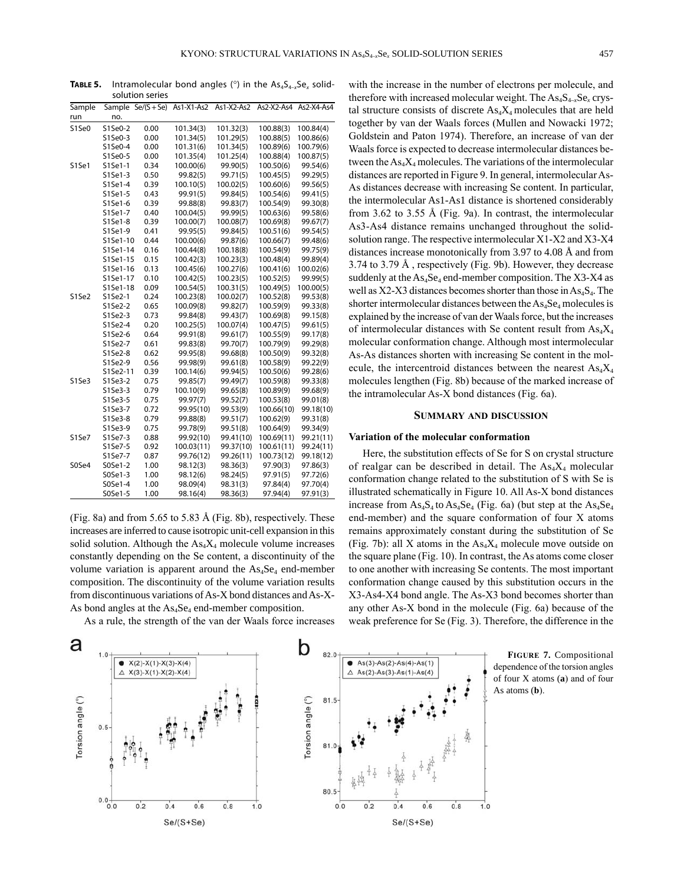**TABLE 5.** Intramolecular bond angles ( $\circ$ ) in the As<sub>4</sub>S<sub>4-x</sub>Se<sub>x</sub> solid-

|        |          | solution series                 |            |            |            |            |
|--------|----------|---------------------------------|------------|------------|------------|------------|
| Sample |          | Sample $\overline{Se/(S + Se)}$ | As1-X1-As2 | As1-X2-As2 | As2-X2-As4 | As2-X4-As4 |
| run    | no.      |                                 |            |            |            |            |
| S1Se0  | S1Se0-2  | 0.00                            | 101.34(3)  | 101.32(3)  | 100.88(3)  | 100.84(4)  |
|        | S1Se0-3  | 0.00                            | 101.34(5)  | 101.29(5)  | 100.88(5)  | 100.86(6)  |
|        | S1Se0-4  | 0.00                            | 101.31(6)  | 101.34(5)  | 100.89(6)  | 100.79(6)  |
|        | S1Se0-5  | 0.00                            | 101.35(4)  | 101.25(4)  | 100.88(4)  | 100.87(5)  |
| S1Se1  | S1Se1-1  | 0.34                            | 100.00(6)  | 99.90(5)   | 100.50(6)  | 99.54(6)   |
|        | S1Se1-3  | 0.50                            | 99.82(5)   | 99.71(5)   | 100.45(5)  | 99.29(5)   |
|        | S1Se1-4  | 0.39                            | 100.10(5)  | 100.02(5)  | 100.60(6)  | 99.56(5)   |
|        | S1Se1-5  | 0.43                            | 99.91(5)   | 99.84(5)   | 100.54(6)  | 99.41(5)   |
|        | S1Se1-6  | 0.39                            | 99.88(8)   | 99.83(7)   | 100.54(9)  | 99.30(8)   |
|        | S1Se1-7  | 0.40                            | 100.04(5)  | 99.99(5)   | 100.63(6)  | 99.58(6)   |
|        | S1Se1-8  | 0.39                            | 100.00(7)  | 100.08(7)  | 100.69(8)  | 99.67(7)   |
|        | S1Se1-9  | 0.41                            | 99.95(5)   | 99.84(5)   | 100.51(6)  | 99.54(5)   |
|        | S1Se1-10 | 0.44                            | 100.00(6)  | 99.87(6)   | 100.66(7)  | 99.48(6)   |
|        | S1Se1-14 | 0.16                            | 100.44(8)  | 100.18(8)  | 100.54(9)  | 99.75(9)   |
|        | S1Se1-15 | 0.15                            | 100.42(3)  | 100.23(3)  | 100.48(4)  | 99.89(4)   |
|        | S1Se1-16 | 0.13                            | 100.45(6)  | 100.27(6)  | 100.41(6)  | 100.02(6)  |
|        | S1Se1-17 | 0.10                            | 100.42(5)  | 100.23(5)  | 100.52(5)  | 99.99(5)   |
|        | S1Se1-18 | 0.09                            | 100.54(5)  | 100.31(5)  | 100.49(5)  | 100.00(5)  |
| S1Se2  | S1Se2-1  | 0.24                            | 100.23(8)  | 100.02(7)  | 100.52(8)  | 99.53(8)   |
|        | S1Se2-2  | 0.65                            | 100.09(8)  | 99.82(7)   | 100.59(9)  | 99.33(8)   |
|        | S1Se2-3  | 0.73                            | 99.84(8)   | 99.43(7)   | 100.69(8)  | 99.15(8)   |
|        | S1Se2-4  | 0.20                            | 100.25(5)  | 100.07(4)  | 100.47(5)  | 99.61(5)   |
|        | S1Se2-6  | 0.64                            | 99.91(8)   | 99.61(7)   | 100.55(9)  | 99.17(8)   |
|        | S1Se2-7  | 0.61                            | 99.83(8)   | 99.70(7)   | 100.79(9)  | 99.29(8)   |
|        | S1Se2-8  | 0.62                            | 99.95(8)   | 99.68(8)   | 100.50(9)  | 99.32(8)   |
|        | S1Se2-9  | 0.56                            | 99.98(9)   | 99.61(8)   | 100.58(9)  | 99.22(9)   |
|        | S1Se2-11 | 0.39                            | 100.14(6)  | 99.94(5)   | 100.50(6)  | 99.28(6)   |
| S1Se3  | S1Se3-2  | 0.75                            | 99.85(7)   | 99.49(7)   | 100.59(8)  | 99.33(8)   |
|        | S1Se3-3  | 0.79                            | 100.10(9)  | 99.65(8)   | 100.89(9)  | 99.68(9)   |
|        | S1Se3-5  | 0.75                            | 99.97(7)   | 99.52(7)   | 100.53(8)  | 99.01(8)   |
|        | S1Se3-7  | 0.72                            | 99.95(10)  | 99.53(9)   | 100.66(10) | 99.18(10)  |
|        | S1Se3-8  | 0.79                            | 99.88(8)   | 99.51(7)   | 100.62(9)  | 99.31(8)   |
|        | S1Se3-9  | 0.75                            | 99.78(9)   | 99.51(8)   | 100.64(9)  | 99.34(9)   |
| S1Se7  | S1Se7-3  | 0.88                            | 99.92(10)  | 99.41(10)  | 100.69(11) | 99.21(11)  |
|        | S1Se7-5  | 0.92                            | 100.03(11) | 99.37(10)  | 100.61(11) | 99.24(11)  |
|        | S1Se7-7  | 0.87                            | 99.76(12)  | 99.26(11)  | 100.73(12) | 99.18(12)  |
| S0Se4  | S0Se1-2  | 1.00                            | 98.12(3)   | 98.36(3)   | 97.90(3)   | 97.86(3)   |
|        | S0Se1-3  | 1.00                            | 98.12(6)   | 98.24(5)   | 97.91(5)   | 97.72(6)   |
|        | S0Se1-4  | 1.00                            | 98.09(4)   | 98.31(3)   | 97.84(4)   | 97.70(4)   |
|        | S0Se1-5  | 1.00                            | 98.16(4)   | 98.36(3)   | 97.94(4)   | 97.91(3)   |

(Fig. 8a) and from 5.65 to 5.83 Å (Fig. 8b), respectively. These increases are inferred to cause isotropic unit-cell expansion in this solid solution. Although the  $\text{As}_4 X_4$  molecule volume increases constantly depending on the Se content, a discontinuity of the volume variation is apparent around the  $As<sub>4</sub>Se<sub>4</sub>$  end-member composition. The discontinuity of the volume variation results from discontinuous variations of As-X bond distances and As-X-As bond angles at the  $As_4Se_4$  end-member composition.

As a rule, the strength of the van der Waals force increases

with the increase in the number of electrons per molecule, and therefore with increased molecular weight. The  $\text{As}_{4}S_{4-x}Se_{x}$  crystal structure consists of discrete  $\text{As}_4 X_4$  molecules that are held together by van der Waals forces (Mullen and Nowacki 1972; Goldstein and Paton 1974). Therefore, an increase of van der Waals force is expected to decrease intermolecular distances between the  $As<sub>4</sub>X<sub>4</sub>$  molecules. The variations of the intermolecular distances are reported in Figure 9. In general, intermolecular As-As distances decrease with increasing Se content. In particular, the intermolecular As1-As1 distance is shortened considerably from 3.62 to 3.55 Å (Fig. 9a). In contrast, the intermolecular As3-As4 distance remains unchanged throughout the solidsolution range. The respective intermolecular X1-X2 and X3-X4 distances increase monotonically from 3.97 to 4.08 Å and from 3.74 to 3.79 Å , respectively (Fig. 9b). However, they decrease suddenly at the  $\text{As}_4\text{Se}_4$  end-member composition. The X3-X4 as well as  $X2-X3$  distances becomes shorter than those in  $As<sub>4</sub>S<sub>4</sub>$ . The shorter intermolecular distances between the  $As<sub>4</sub>Se<sub>4</sub>$  molecules is explained by the increase of van der Waals force, but the increases of intermolecular distances with Se content result from  $As<sub>4</sub>X<sub>4</sub>$ molecular conformation change. Although most intermolecular As-As distances shorten with increasing Se content in the molecule, the intercentroid distances between the nearest  $As<sub>4</sub>X<sub>4</sub>$ molecules lengthen (Fig. 8b) because of the marked increase of the intramolecular As-X bond distances (Fig. 6a).

#### **summAry And discussion**

# **Variation of the molecular conformation**

Here, the substitution effects of Se for S on crystal structure of realgar can be described in detail. The  $As<sub>4</sub>X<sub>4</sub>$  molecular conformation change related to the substitution of S with Se is illustrated schematically in Figure 10. All As-X bond distances increase from  $As_4S_4$  to  $As_4Se_4$  (Fig. 6a) (but step at the  $As_4Se_4$ end-member) and the square conformation of four X atoms remains approximately constant during the substitution of Se (Fig. 7b): all X atoms in the  $As<sub>4</sub>X<sub>4</sub>$  molecule move outside on the square plane (Fig. 10). In contrast, the As atoms come closer to one another with increasing Se contents. The most important conformation change caused by this substitution occurs in the X3-As4-X4 bond angle. The As-X3 bond becomes shorter than any other As-X bond in the molecule (Fig. 6a) because of the weak preference for Se (Fig. 3). Therefore, the difference in the



**FigurE 7.** Compositional dependence of the torsion angles of four X atoms (**a**) and of four As atoms (**b**).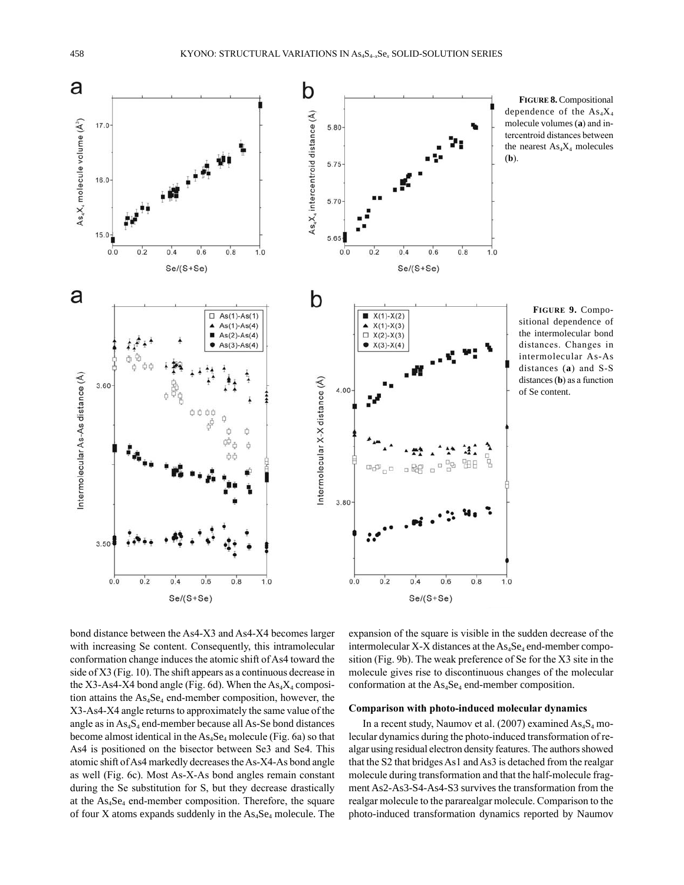

**FigurE 8.** Compositional dependence of the  $As<sub>4</sub>X<sub>4</sub>$ molecule volumes (**a**) and intercentroid distances between the nearest  $As<sub>4</sub>X<sub>4</sub>$  molecules

**FigurE 9.** Compositional dependence of the intermolecular bond distances. Changes in intermolecular As-As distances (**a**) and S-S distances (**b**) as a function of Se content.

bond distance between the As4-X3 and As4-X4 becomes larger with increasing Se content. Consequently, this intramolecular conformation change induces the atomic shift of As4 toward the side of X3 (Fig. 10). The shift appears as a continuous decrease in the X3-As4-X4 bond angle (Fig. 6d). When the  $As<sub>4</sub>X<sub>4</sub>$  composition attains the As<sub>4</sub>Se<sub>4</sub> end-member composition, however, the X3-As4-X4 angle returns to approximately the same value of the angle as in  $As_4S_4$  end-member because all As-Se bond distances become almost identical in the  $As<sub>4</sub>Se<sub>4</sub>$  molecule (Fig. 6a) so that As4 is positioned on the bisector between Se3 and Se4. This atomic shift of As4 markedly decreases the As-X4-As bond angle as well (Fig. 6c). Most As-X-As bond angles remain constant during the Se substitution for S, but they decrease drastically at the As4Se4 end-member composition. Therefore, the square of four X atoms expands suddenly in the  $\text{As}_4\text{Se}_4$  molecule. The expansion of the square is visible in the sudden decrease of the intermolecular X-X distances at the  $As_4Se_4$  end-member composition (Fig. 9b). The weak preference of Se for the X3 site in the molecule gives rise to discontinuous changes of the molecular conformation at the  $As<sub>4</sub>Se<sub>4</sub>$  end-member composition.

### **Comparison with photo-induced molecular dynamics**

In a recent study, Naumov et al. (2007) examined  $As_4S_4$  molecular dynamics during the photo-induced transformation of realgar using residual electron density features. The authors showed that the S2 that bridges As1 and As3 is detached from the realgar molecule during transformation and that the half-molecule fragment As2-As3-S4-As4-S3 survives the transformation from the realgar molecule to the pararealgar molecule. Comparison to the photo-induced transformation dynamics reported by Naumov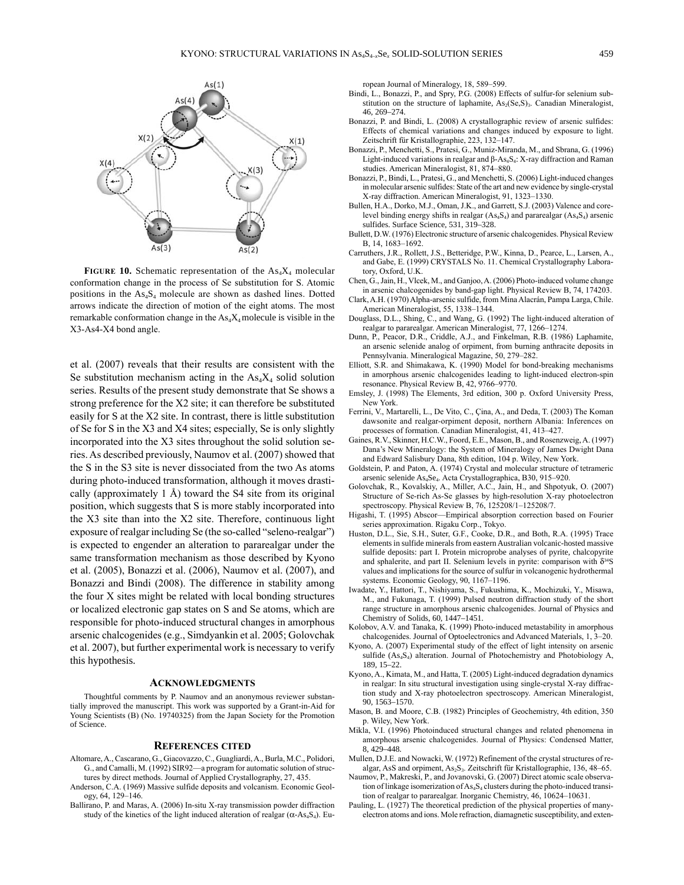

FIGURE 10. Schematic representation of the As<sub>4</sub>X<sub>4</sub> molecular conformation change in the process of Se substitution for S. Atomic positions in the As<sub>4</sub>S<sub>4</sub> molecule are shown as dashed lines. Dotted arrows indicate the direction of motion of the eight atoms. The most remarkable conformation change in the  $\text{As}_4\text{X}_4$  molecule is visible in the X3-As4-X4 bond angle.

et al. (2007) reveals that their results are consistent with the Se substitution mechanism acting in the  $As<sub>4</sub>X<sub>4</sub>$  solid solution series. Results of the present study demonstrate that Se shows a strong preference for the X2 site; it can therefore be substituted easily for S at the X2 site. In contrast, there is little substitution of Se for S in the X3 and X4 sites; especially, Se is only slightly incorporated into the X3 sites throughout the solid solution series. As described previously, Naumov et al. (2007) showed that the S in the S3 site is never dissociated from the two As atoms during photo-induced transformation, although it moves drastically (approximately  $1 \text{ Å}$ ) toward the S4 site from its original position, which suggests that S is more stably incorporated into the X3 site than into the X2 site. Therefore, continuous light exposure of realgar including Se (the so-called "seleno-realgar") is expected to engender an alteration to pararealgar under the same transformation mechanism as those described by Kyono et al. (2005), Bonazzi et al. (2006), Naumov et al. (2007), and Bonazzi and Bindi (2008). The difference in stability among the four X sites might be related with local bonding structures or localized electronic gap states on S and Se atoms, which are responsible for photo-induced structural changes in amorphous arsenic chalcogenides (e.g., Simdyankin et al. 2005; Golovchak et al. 2007), but further experimental work is necessary to verify this hypothesis.

#### **AcKnowlEdgmEnts**

Thoughtful comments by P. Naumov and an anonymous reviewer substantially improved the manuscript. This work was supported by a Grant-in-Aid for Young Scientists (B) (No. 19740325) from the Japan Society for the Promotion of Science.

#### **rEFErEncEs citEd**

- Altomare, A., Cascarano, G., Giacovazzo, C., Guagliardi, A., Burla, M.C., Polidori, G., and Camalli, M. (1992) SIR92—a program for automatic solution of structures by direct methods. Journal of Applied Crystallography, 27, 435.
- Anderson, C.A. (1969) Massive sulfide deposits and volcanism. Economic Geology, 64, 129–146.
- Ballirano, P. and Maras, A. (2006) In-situ X-ray transmission powder diffraction study of the kinetics of the light induced alteration of realgar ( $\alpha$ -As<sub>4</sub>S<sub>4</sub>). Eu-

ropean Journal of Mineralogy, 18, 589–599.

- Bindi, l., Bonazzi, P., and Spry, P.G. (2008) Effects of sulfur-for selenium substitution on the structure of laphamite, As<sub>2</sub>(Se,S)<sub>3</sub>. Canadian Mineralogist, 46, 269–274.
- Bonazzi, P. and Bindi, L. (2008) A crystallographic review of arsenic sulfides: Effects of chemical variations and changes induced by exposure to light. Zeitschrift für Kristallographie, 223, 132–147.
- Bonazzi, P., Menchetti, S., Pratesi, G., Muniz-Miranda, M., and Sbrana, G. (1996) Light-induced variations in realgar and β-As<sub>4</sub>S<sub>4</sub>: X-ray diffraction and Raman studies. American Mineralogist, 81, 874–880.
- Bonazzi, P., Bindi, L., Pratesi, G., and Menchetti, S. (2006) Light-induced changes in molecular arsenic sulfides: State of the art and new evidence by single-crystal X-ray diffraction. American Mineralogist, 91, 1323–1330.
- Bullen, H.A., Dorko, M.J., Oman, J.K., and Garrett, S.J. (2003) valence and corelevel binding energy shifts in realgar  $(As_4S_4)$  and pararealgar  $(As_4S_4)$  arsenic sulfides. Surface Science, 531, 319–328.
- Bullett, D.W. (1976) Electronic structure of arsenic chalcogenides. Physical Review B, 14, 1683–1692.
- Carruthers, J.R., Rollett, J.S., Betteridge, P.W., Kinna, D., Pearce, l., larsen, A., and Gabe, E. (1999) CRySTAlS No. 11. Chemical Crystallography laboratory, Oxford, U.K.
- Chen, G., Jain, H., vlcek, M., and Ganjoo, A. (2006) Photo-induced volume change in arsenic chalcogenides by band-gap light. Physical Review B, 74, 174203.
- Clark, A.H. (1970) Alpha-arsenic sulfide, from Mina Alacrán, Pampa larga, Chile. American Mineralogist, 55, 1338–1344.
- Douglass, D.l., Shing, C., and Wang, G. (1992) The light-induced alteration of realgar to pararealgar. American Mineralogist, 77, 1266–1274.
- Dunn, P., Peacor, D.R., Criddle, A.J., and Finkelman, R.B. (1986) laphamite, an arsenic selenide analog of orpiment, from burning anthracite deposits in Pennsylvania. Mineralogical Magazine, 50, 279–282.
- Elliott, S.R. and Shimakawa, K. (1990) Model for bond-breaking mechanisms in amorphous arsenic chalcogenides leading to light-induced electron-spin resonance. Physical Review B, 42, 9766–9770.
- Emsley, J. (1998) The Elements, 3rd edition, 300 p. Oxford university Press, New york.
- Ferrini, v., Martarelli, l., De vito, C., Çina, A., and Deda, T. (2003) The Koman dawsonite and realgar-orpiment deposit, northern Albania: Inferences on processes of formation. Canadian Mineralogist, 41, 413–427.
- Gaines, R.v., Skinner, H.C.W., Foord, E.E., Mason, B., and Rosenzweig, A. (1997) Dana's New Mineralogy: the System of Mineralogy of James Dwight Dana and Edward Salisbury Dana, 8th edition, 104 p. Wiley, New york.
- Goldstein, P. and Paton, A. (1974) Crystal and molecular structure of tetrameric arsenic selenide As4Se4. Acta Crystallographica, B30, 915–920.
- Golovchak, R., Kovalskiy, A., Miller, A.C., Jain, H., and Shpotyuk, O. (2007) Structure of Se-rich As-Se glasses by high-resolution X-ray photoelectron spectroscopy. Physical Review B, 76, 125208/1–125208/7.
- Higashi, T. (1995) Abscor—Empirical absorption correction based on Fourier series approximation. Rigaku Corp., Tokyo.
- Huston, D.L., Sie, S.H., Suter, G.F., Cooke, D.R., and Both, R.A. (1995) Trace elements in sulfide minerals from eastern Australian volcanic-hosted massive sulfide deposits: part I. Protein microprobe analyses of pyrite, chalcopyrite and sphalerite, and part II. Selenium levels in pyrite: comparison with  $\delta^{34}S$ values and implications for the source of sulfur in volcanogenic hydrothermal systems. Economic Geology, 90, 1167–1196.
- Iwadate, y., Hattori, T., Nishiyama, S., Fukushima, K., Mochizuki, y., Misawa, M., and Fukunaga, T. (1999) Pulsed neutron diffraction study of the short range structure in amorphous arsenic chalcogenides. Journal of Physics and Chemistry of Solids, 60, 1447–1451.
- Kolobov, A.v. and Tanaka, K. (1999) Photo-induced metastability in amorphous chalcogenides. Journal of Optoelectronics and Advanced Materials, 1, 3–20.
- Kyono, A. (2007) Experimental study of the effect of light intensity on arsenic sulfide  $(As_4S_4)$  alteration. Journal of Photochemistry and Photobiology A, 189, 15–22.
- Kyono, A., Kimata, M., and Hatta, T. (2005) Light-induced degradation dynamics in realgar: In situ structural investigation using single-crystal X-ray diffraction study and X-ray photoelectron spectroscopy. American Mineralogist, 90, 1563–1570.
- Mason, B. and Moore, C.B. (1982) Principles of Geochemistry, 4th edition, 350 p. Wiley, New york.
- Mikla, V.I. (1996) Photoinduced structural changes and related phenomena in amorphous arsenic chalcogenides. Journal of Physics: Condensed Matter, 8, 429–448.
- Mullen, D.J.E. and Nowacki, W. (1972) Refinement of the crystal structures of realgar, AsS and orpiment,  $As_2S_3$ . Zeitschrift für Kristallographie, 136, 48–65.
- Naumov, P., Makreski, P., and Jovanovski, G. (2007) Direct atomic scale observation of linkage isomerization of As<sub>4</sub>S<sub>4</sub> clusters during the photo-induced transition of realgar to pararealgar. Inorganic Chemistry, 46, 10624–10631.
- Pauling, L. (1927) The theoretical prediction of the physical properties of manyelectron atoms and ions. Mole refraction, diamagnetic susceptibility, and exten-